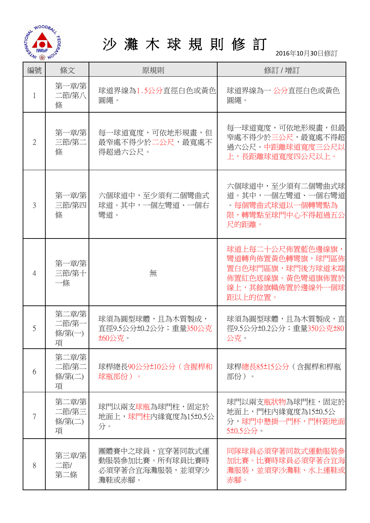

## 沙 灘 木 球 規 則 修 訂

2016年10月30日修訂

| 編號             | 條文                            | 原規則                                                             | 修訂 / 增訂                                                                                                     |
|----------------|-------------------------------|-----------------------------------------------------------------|-------------------------------------------------------------------------------------------------------------|
| 1              | 第一章/第<br>二節/第八<br>條           | 球道界線為1.5公分直徑白色或黃色<br>圓繩。                                        | 球道界線為一 公分直徑白色或黃色<br>圓繩。                                                                                     |
| $\overline{2}$ | 第一章/第 <br>三節/第二<br>條          | 每一球道寬度,可依地形規畫,但<br>最窄處不得少於二公尺,最寬處不<br>得超過六公尺。                   | 每一球道寬度,可依地形規書,但最<br>窄處不得少於三公尺,最寬處不得超<br>過六公尺。中距離球道寬度三公尺以<br>上,長距離球道寬度四公尺以上。                                 |
| 3              | 第一章/第 <br>三節/第四<br>條          | 六個球道中,至少須有二個彎曲式<br>球道。其中,一個左彎道、一個右<br>彎道。                       | 六個球道中,至少須有二個彎曲式球<br>道。其中,一個左彎道、一個右彎道<br>。每個彎曲式球道以一個轉彎點為<br>限,轉彎點至球門中心不得超過五公<br>尺的距離。                        |
| 4              | 第一章/第<br>三節/第十<br>一條          | 無                                                               | 球道上每二十公尺佈置藍色邊線旗,<br>彎道轉角佈置黃色轉彎旗,球門區佈<br>置白色球門區旗,球門後方球道末端<br>佈置紅色底線旗。黃色彎道旗佈置於<br>線上,其餘旗幟佈置於邊線外一個球<br>距以上的位置。 |
| 5              | 第二章/第<br>二節/第一<br>條/第(一)<br>項 | 球須為圓型球體,且為木質製成,<br>直徑9.5公分±0.2公分; 重量350公克<br><b>±60公克。</b>      | 球須為圓型球體,且為木質製成,直<br>徑9.5公分±0.2公分; 重量350公克±80<br>公克。                                                         |
| 6              | 第二章/第<br>二節/第二<br>條/第(二)<br>項 | 球桿總長90公分±10公分(含握桿和<br>球瓶部份)。                                    | 球桿總長85±15公分 (含握桿和桿瓶<br>部份)。                                                                                 |
| 7              | 第二章/第<br>二節/第三<br>條/第(二)<br>項 | 球門以兩支球瓶為球門柱,固定於<br>地面上,球門柱内緣寬度為15±0.5公<br>分。                    | 球門以兩支瓶狀物為球門柱,固定於<br>地面上,門柱內緣寬度為15±0.5公<br>分,球門中懸掛一門杯,門杯距地面<br>5±0.5公分。                                      |
| 8              | 第三章/第<br>二節/<br>第二條           | 團體賽中之球員,宜穿著同款式運<br>動服裝參加比賽。所有球員比賽時<br>必須穿著合宜海灘服裝,並須穿沙<br>灘鞋或赤腳。 | 同隊球員必須穿著同款式運動服裝參<br>加比賽。比賽時球員必須穿著合宜海<br>灘服裝,並須穿沙灘鞋、水上運鞋或<br>赤腳。                                             |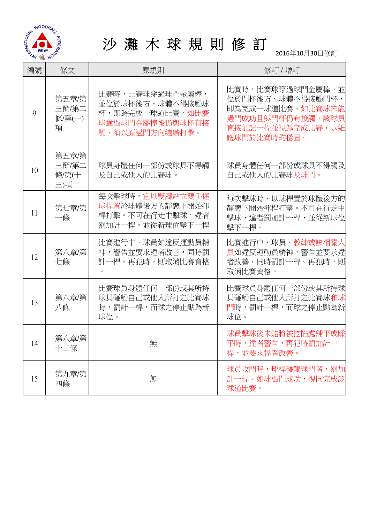

# 沙 灘 木 球 規 則 修 訂

2016年10月30日修訂

| 編號 | 條文                             | 原規則                                                                                        | 修訂 / 增訂                                                                                                         |
|----|--------------------------------|--------------------------------------------------------------------------------------------|-----------------------------------------------------------------------------------------------------------------|
| 9  | 第五章/第<br>三節/第二<br>條/第(一)<br>項  | 比賽時,比賽球穿過球門金屬棒,<br>並位於球杯後方、球體不得接觸球<br>杯,即為完成一球道比賽。如比賽<br>球通過球門金屬棒後仍與球杯有接<br>觸,須以原過門方向繼續打擊。 | 比賽時,比賽球穿過球門金屬棒,並<br>位於門杯後方、球體不得接觸門杯,<br>即為完成一球道比賽。如比賽球未能<br>過門成功且與門杯仍有接觸,該球員<br>直接加記一桿並視為完成比賽,以維<br>護球門於比賽時的穩固。 |
| 10 | 第五章/第<br>三節/第二<br>條/第(十<br>三)項 | 球員身體任何一部份或球具不得觸<br>及自己或他人的比賽球。                                                             | 球員身體任何一部份或球具不得觸及<br>自己或他人的比賽球及球門。                                                                               |
| 11 | 第七章/第<br>一條                    | 每次擊球時,宜以雙腳站立雙手握<br>球桿置於球體後方的靜態下開始揮<br>桿打擊。不可在行走中擊球,違者<br>罰加計一桿,並從新球位擊下一桿                   | 每次擊球時,以球桿置於球體後方的<br>靜熊下開始揮桿打擊。不可在行走中<br>擊球,違者罰加計一桿,並從新球位<br>擊下一桿。                                               |
| 12 | 第八章/第1<br>七條                   | 比賽進行中,球員如違反運動員精<br>神,警告並要求違者改善,同時罰<br>計一桿。再犯時,則取消比賽資格<br>$\circ$                           | 比賽進行中,球員、教練或該相關人<br>員如違反運動員精神,警告並要求違<br>者改善,同時罰計一桿。再犯時,則<br>取消比賽資格。                                             |
| 13 | 第八章/第<br>八條                    | 比賽球員身體任何一部份或其所持<br>球具碰觸自己或他人所打之比賽球<br>時,罰計一桿,而球之停止點為新<br>球位。                               | 比賽球員身體任何一部份或其所持球<br>具碰觸自己或他人所打之比賽球和球<br>門時,罰計一桿,而球之停止點為新<br>球位。                                                 |
| 14 | 第八章/第 <br>十二條                  | 無                                                                                          | 球員擊球後未能將被挖陷處鋪平或踩<br>平時,違者警告,再犯時罰加計一<br>桿,並要求違者改善。                                                               |
| 15 | 第九章/第<br>四條                    | 無                                                                                          | 球員攻門時,球桿碰觸球門者,罰加<br>計一桿。如球過門成功,視同完成該<br>球道比賽。                                                                   |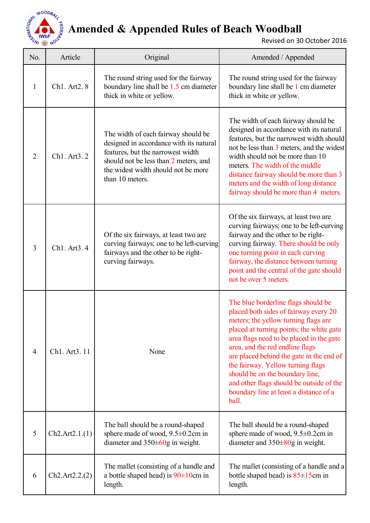

### **Amended & Appended Rules of Beach Woodball**

Revised on 30 October 2016

| No.            | Article        | Original                                                                                                                                                                                                               | Amended / Appended                                                                                                                                                                                                                                                                                                                                                                                                                                                 |
|----------------|----------------|------------------------------------------------------------------------------------------------------------------------------------------------------------------------------------------------------------------------|--------------------------------------------------------------------------------------------------------------------------------------------------------------------------------------------------------------------------------------------------------------------------------------------------------------------------------------------------------------------------------------------------------------------------------------------------------------------|
|                | Ch1. Art2. 8   | The round string used for the fairway<br>boundary line shall be 1.5 cm diameter<br>thick in white or yellow.                                                                                                           | The round string used for the fairway<br>boundary line shall be 1 cm diameter<br>thick in white or yellow.                                                                                                                                                                                                                                                                                                                                                         |
| $\overline{2}$ | Ch1. Art3. 2   | The width of each fairway should be<br>designed in accordance with its natural<br>features, but the narrowest width<br>should not be less than 2 meters, and<br>the widest width should not be more<br>than 10 meters. | The width of each fairway should be<br>designed in accordance with its natural<br>features, but the narrowest width should<br>not be less than 3 meters, and the widest<br>width should not be more than 10<br>meters. The width of the middle<br>distance fairway should be more than 3<br>meters and the width of long distance<br>fairway should be more than 4 meters.                                                                                         |
| 3              | Ch1. Art3. 4   | Of the six fairways, at least two are<br>curving fairways; one to be left-curving<br>fairways and the other to be right-<br>curving fairways.                                                                          | Of the six fairways, at least two are<br>curving fairways; one to be left-curving<br>fairway and the other to be right-<br>curving fairway. There should be only<br>one turning point in each curving<br>fairway, the distance between turning<br>point and the central of the gate should<br>not be over 5 meters.                                                                                                                                                |
| 4              | Ch1. Art3. 11  | None                                                                                                                                                                                                                   | The blue borderline flags should be<br>placed both sides of fairway every 20<br>meters; the yellow turning flags are<br>placed at turning points; the white gate<br>area flags need to be placed in the gate<br>area, and the red endline flags<br>are placed behind the gate in the end of<br>the fairway. Yellow turning flags<br>should be on the boundary line,<br>and other flags should be outside of the<br>boundary line at least a distance of a<br>ball. |
| 5              | Ch2.Art2.1.(1) | The ball should be a round-shaped<br>sphere made of wood, $9.5 \pm 0.2$ cm in<br>diameter and $350\pm 60$ g in weight.                                                                                                 | The ball should be a round-shaped<br>sphere made of wood, 9.5±0.2cm in<br>diameter and $350\pm80$ g in weight.                                                                                                                                                                                                                                                                                                                                                     |
| 6              | Ch2.Art2.2.2)  | The mallet (consisting of a handle and<br>a bottle shaped head) is $90 \pm 10$ cm in<br>length.                                                                                                                        | The mallet (consisting of a handle and a<br>bottle shaped head) is $85 \pm 15$ cm in<br>length.                                                                                                                                                                                                                                                                                                                                                                    |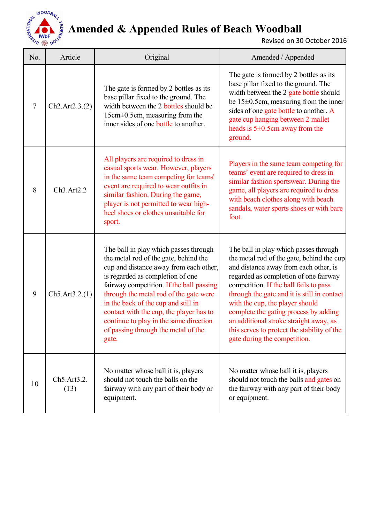

### **Amended & Appended Rules of Beach Woodball**

Revised on 30 October 2016

| No.            | Article                                       | Original                                                                                                                                                                                                                                                                                                                                                                                                                       | Amended / Appended                                                                                                                                                                                                                                                                                                                                                                                                                                                 |
|----------------|-----------------------------------------------|--------------------------------------------------------------------------------------------------------------------------------------------------------------------------------------------------------------------------------------------------------------------------------------------------------------------------------------------------------------------------------------------------------------------------------|--------------------------------------------------------------------------------------------------------------------------------------------------------------------------------------------------------------------------------------------------------------------------------------------------------------------------------------------------------------------------------------------------------------------------------------------------------------------|
| $\overline{7}$ | Ch2.Art2.3.(2)                                | The gate is formed by 2 bottles as its<br>base pillar fixed to the ground. The<br>width between the 2 bottles should be<br>15cm±0.5cm, measuring from the<br>inner sides of one bottle to another.                                                                                                                                                                                                                             | The gate is formed by 2 bottles as its<br>base pillar fixed to the ground. The<br>width between the 2 gate bottle should<br>be $15\pm0.5$ cm, measuring from the inner<br>sides of one gate bottle to another. A<br>gate cup hanging between 2 mallet<br>heads is $5\pm0.5$ cm away from the<br>ground.                                                                                                                                                            |
| 8              | Ch3.Art2.2                                    | All players are required to dress in<br>casual sports wear. However, players<br>in the same team competing for teams'<br>event are required to wear outfits in<br>similar fashion. During the game,<br>player is not permitted to wear high-<br>heel shoes or clothes unsuitable for<br>sport.                                                                                                                                 | Players in the same team competing for<br>teams' event are required to dress in<br>similar fashion sportswear. During the<br>game, all players are required to dress<br>with beach clothes along with beach<br>sandals, water sports shoes or with bare<br>foot.                                                                                                                                                                                                   |
| 9              | Ch5. Art3.2.(1)                               | The ball in play which passes through<br>the metal rod of the gate, behind the<br>cup and distance away from each other,<br>is regarded as completion of one<br>fairway competition. If the ball passing<br>through the metal rod of the gate were<br>in the back of the cup and still in<br>contact with the cup, the player has to<br>continue to play in the same direction<br>of passing through the metal of the<br>gate. | The ball in play which passes through<br>the metal rod of the gate, behind the cup<br>and distance away from each other, is<br>regarded as completion of one fairway<br>competition. If the ball fails to pass<br>through the gate and it is still in contact<br>with the cup, the player should<br>complete the gating process by adding<br>an additional stroke straight away, as<br>this serves to protect the stability of the<br>gate during the competition. |
| 10             | Ch <sub>5</sub> .Art <sub>3.2</sub> .<br>(13) | No matter whose ball it is, players<br>should not touch the balls on the<br>fairway with any part of their body or<br>equipment.                                                                                                                                                                                                                                                                                               | No matter whose ball it is, players<br>should not touch the balls and gates on<br>the fairway with any part of their body<br>or equipment.                                                                                                                                                                                                                                                                                                                         |